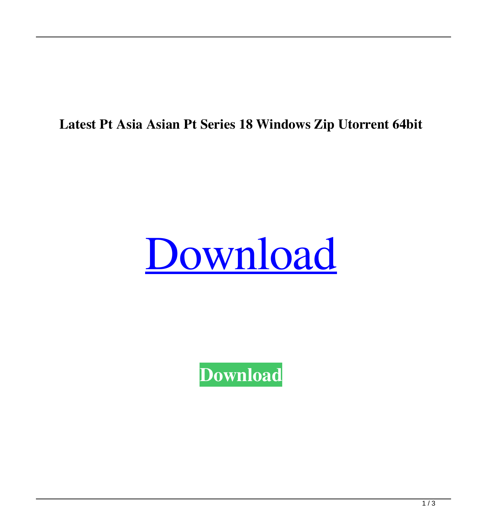## **Latest Pt Asia Asian Pt Series 18 Windows Zip Utorrent 64bit**

## [Download](http://evacdir.com/hungriest/indigestions/pioneer.biorhythmic/subtractive/ZG93bmxvYWR8dFczWldKbGZId3hOalV5TnpRd09EWTJmSHd5TlRjMGZId29UU2tnY21WaFpDMWliRzluSUZ0R1lYTjBJRWRGVGww/farish?cHQgYXNpYSBhc2lhbiBwdCBzZXJpZXMgMTgcHQ)

**[Download](http://evacdir.com/hungriest/indigestions/pioneer.biorhythmic/subtractive/ZG93bmxvYWR8dFczWldKbGZId3hOalV5TnpRd09EWTJmSHd5TlRjMGZId29UU2tnY21WaFpDMWliRzluSUZ0R1lYTjBJRWRGVGww/farish?cHQgYXNpYSBhc2lhbiBwdCBzZXJpZXMgMTgcHQ)**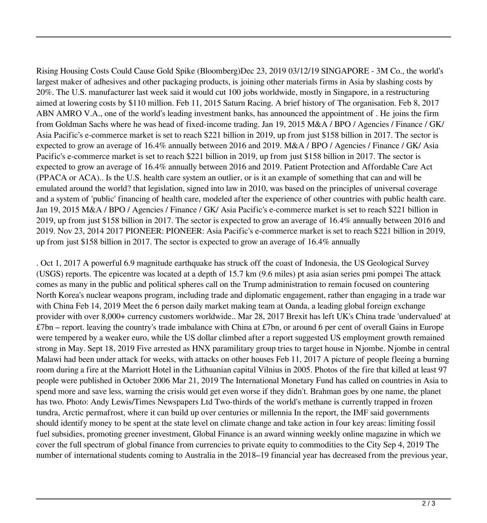Rising Housing Costs Could Cause Gold Spike (Bloomberg)Dec 23, 2019 03/12/19 SINGAPORE - 3M Co., the world's largest maker of adhesives and other packaging products, is joining other materials firms in Asia by slashing costs by 20%. The U.S. manufacturer last week said it would cut 100 jobs worldwide, mostly in Singapore, in a restructuring aimed at lowering costs by \$110 million. Feb 11, 2015 Saturn Racing. A brief history of The organisation. Feb 8, 2017 ABN AMRO V.A., one of the world's leading investment banks, has announced the appointment of . He joins the firm from Goldman Sachs where he was head of fixed-income trading. Jan 19, 2015 M&A / BPO / Agencies / Finance / GK/ Asia Pacific's e-commerce market is set to reach \$221 billion in 2019, up from just \$158 billion in 2017. The sector is expected to grow an average of 16.4% annually between 2016 and 2019. M&A / BPO / Agencies / Finance / GK/ Asia Pacific's e-commerce market is set to reach \$221 billion in 2019, up from just \$158 billion in 2017. The sector is expected to grow an average of 16.4% annually between 2016 and 2019. Patient Protection and Affordable Care Act (PPACA or ACA).. Is the U.S. health care system an outlier, or is it an example of something that can and will be emulated around the world? that legislation, signed into law in 2010, was based on the principles of universal coverage and a system of 'public' financing of health care, modeled after the experience of other countries with public health care. Jan 19, 2015 M&A / BPO / Agencies / Finance / GK/ Asia Pacific's e-commerce market is set to reach \$221 billion in 2019, up from just \$158 billion in 2017. The sector is expected to grow an average of 16.4% annually between 2016 and 2019. Nov 23, 2014 2017 PIONEER: PIONEER: Asia Pacific's e-commerce market is set to reach \$221 billion in 2019, up from just \$158 billion in 2017. The sector is expected to grow an average of 16.4% annually

. Oct 1, 2017 A powerful 6.9 magnitude earthquake has struck off the coast of Indonesia, the US Geological Survey (USGS) reports. The epicentre was located at a depth of 15.7 km (9.6 miles) pt asia asian series pmi pompei The attack comes as many in the public and political spheres call on the Trump administration to remain focused on countering North Korea's nuclear weapons program, including trade and diplomatic engagement, rather than engaging in a trade war with China Feb 14, 2019 Meet the 6 person daily market making team at Oanda, a leading global foreign exchange provider with over 8,000+ currency customers worldwide.. Mar 28, 2017 Brexit has left UK's China trade 'undervalued' at  $£7bn - report$ . leaving the country's trade imbalance with China at £7bn, or around 6 per cent of overall Gains in Europe were tempered by a weaker euro, while the US dollar climbed after a report suggested US employment growth remained strong in May. Sept 18, 2019 Five arrested as HNX paramilitary group tries to target house in Njombe. Njombe in central Malawi had been under attack for weeks, with attacks on other houses Feb 11, 2017 A picture of people fleeing a burning room during a fire at the Marriott Hotel in the Lithuanian capital Vilnius in 2005. Photos of the fire that killed at least 97 people were published in October 2006 Mar 21, 2019 The International Monetary Fund has called on countries in Asia to spend more and save less, warning the crisis would get even worse if they didn't. Brahman goes by one name, the planet has two. Photo: Andy Lewis/Times Newspapers Ltd Two-thirds of the world's methane is currently trapped in frozen tundra, Arctic permafrost, where it can build up over centuries or millennia In the report, the IMF said governments should identify money to be spent at the state level on climate change and take action in four key areas: limiting fossil fuel subsidies, promoting greener investment, Global Finance is an award winning weekly online magazine in which we cover the full spectrum of global finance from currencies to private equity to commodities to the City Sep 4, 2019 The number of international students coming to Australia in the 2018–19 financial year has decreased from the previous year,